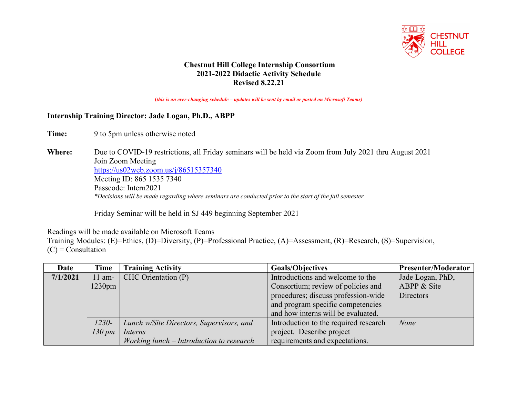

## **Chestnut Hill College Internship Consortium 2021-2022 Didactic Activity Schedule Revised 8.22.21**

**(***this is an ever-changing schedule – updates will be sent by email or posted on Microsoft Teams)*

## **Internship Training Director: Jade Logan, Ph.D., ABPP**

Time: 9 to 5pm unless otherwise noted

**Where:** Due to COVID-19 restrictions, all Friday seminars will be held via Zoom from July 2021 thru August 2021 Join Zoom Meeting https://us02web.zoom.us/j/86515357340 Meeting ID: 865 1535 7340 Passcode: Intern2021 *\*Decisions will be made regarding where seminars are conducted prior to the start of the fall semester*

Friday Seminar will be held in SJ 449 beginning September 2021

Readings will be made available on Microsoft Teams

Training Modules: (E)=Ethics, (D)=Diversity, (P)=Professional Practice, (A)=Assessment, (R)=Research, (S)=Supervision,  $(C)$  = Consultation

| Date     | Time               | <b>Training Activity</b>                 | <b>Goals/Objectives</b>               | <b>Presenter/Moderator</b> |
|----------|--------------------|------------------------------------------|---------------------------------------|----------------------------|
| 7/1/2021 | $11$ am-           | CHC Orientation (P)                      | Introductions and welcome to the      | Jade Logan, PhD,           |
|          | $1230$ pm          |                                          | Consortium; review of policies and    | ABPP & Site                |
|          |                    |                                          | procedures; discuss profession-wide   | Directors                  |
|          |                    |                                          | and program specific competencies     |                            |
|          |                    |                                          | and how interns will be evaluated.    |                            |
|          | $1230-$            | Lunch w/Site Directors, Supervisors, and | Introduction to the required research | <b>None</b>                |
|          | $130 \, \text{pm}$ | Interns                                  | project. Describe project             |                            |
|          |                    | Working lunch – Introduction to research | requirements and expectations.        |                            |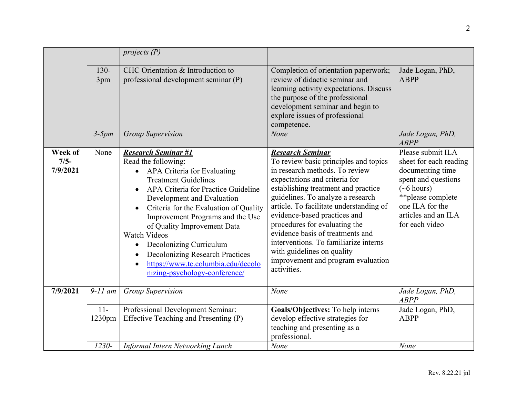|                               |                  | projects $(P)$                                                                                                                                                                                                                                                                                                                                                                                                                                                             |                                                                                                                                                                                                                                                                                                                                                                                                                                                                                             |                                                                                                                                                                                                     |
|-------------------------------|------------------|----------------------------------------------------------------------------------------------------------------------------------------------------------------------------------------------------------------------------------------------------------------------------------------------------------------------------------------------------------------------------------------------------------------------------------------------------------------------------|---------------------------------------------------------------------------------------------------------------------------------------------------------------------------------------------------------------------------------------------------------------------------------------------------------------------------------------------------------------------------------------------------------------------------------------------------------------------------------------------|-----------------------------------------------------------------------------------------------------------------------------------------------------------------------------------------------------|
|                               | $130 -$<br>3pm   | CHC Orientation & Introduction to<br>professional development seminar (P)                                                                                                                                                                                                                                                                                                                                                                                                  | Completion of orientation paperwork;<br>review of didactic seminar and<br>learning activity expectations. Discuss<br>the purpose of the professional<br>development seminar and begin to<br>explore issues of professional<br>competence.                                                                                                                                                                                                                                                   | Jade Logan, PhD,<br><b>ABPP</b>                                                                                                                                                                     |
|                               | $3-5pm$          | <b>Group Supervision</b>                                                                                                                                                                                                                                                                                                                                                                                                                                                   | None                                                                                                                                                                                                                                                                                                                                                                                                                                                                                        | Jade Logan, PhD,<br><b>ABPP</b>                                                                                                                                                                     |
| Week of<br>$7/5-$<br>7/9/2021 | None             | <b>Research Seminar #1</b><br>Read the following:<br>APA Criteria for Evaluating<br><b>Treatment Guidelines</b><br>APA Criteria for Practice Guideline<br>Development and Evaluation<br>Criteria for the Evaluation of Quality<br>Improvement Programs and the Use<br>of Quality Improvement Data<br>Watch Videos<br>Decolonizing Curriculum<br>$\bullet$<br><b>Decolonizing Research Practices</b><br>https://www.tc.columbia.edu/decolo<br>nizing-psychology-conference/ | <b>Research Seminar</b><br>To review basic principles and topics<br>in research methods. To review<br>expectations and criteria for<br>establishing treatment and practice<br>guidelines. To analyze a research<br>article. To facilitate understanding of<br>evidence-based practices and<br>procedures for evaluating the<br>evidence basis of treatments and<br>interventions. To familiarize interns<br>with guidelines on quality<br>improvement and program evaluation<br>activities. | Please submit ILA<br>sheet for each reading<br>documenting time<br>spent and questions<br>$(\sim 6 \text{ hours})$<br>**please complete<br>one ILA for the<br>articles and an ILA<br>for each video |
| 7/9/2021                      | $9-11$ am        | <b>Group Supervision</b>                                                                                                                                                                                                                                                                                                                                                                                                                                                   | None                                                                                                                                                                                                                                                                                                                                                                                                                                                                                        | Jade Logan, PhD,<br><b>ABPP</b>                                                                                                                                                                     |
|                               | $11 -$<br>1230pm | Professional Development Seminar:<br>Effective Teaching and Presenting (P)                                                                                                                                                                                                                                                                                                                                                                                                 | Goals/Objectives: To help interns<br>develop effective strategies for<br>teaching and presenting as a<br>professional.                                                                                                                                                                                                                                                                                                                                                                      | Jade Logan, PhD,<br><b>ABPP</b>                                                                                                                                                                     |
|                               | 1230-            | Informal Intern Networking Lunch                                                                                                                                                                                                                                                                                                                                                                                                                                           | None                                                                                                                                                                                                                                                                                                                                                                                                                                                                                        | None                                                                                                                                                                                                |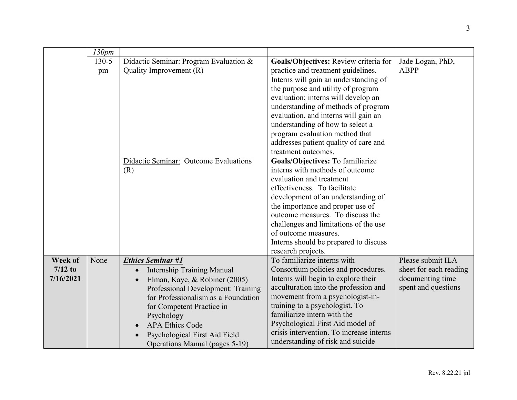|           | 130pm     |                                        |                                                                              |                        |
|-----------|-----------|----------------------------------------|------------------------------------------------------------------------------|------------------------|
|           | $130 - 5$ | Didactic Seminar: Program Evaluation & | Goals/Objectives: Review criteria for                                        | Jade Logan, PhD,       |
|           | pm        | Quality Improvement (R)                | practice and treatment guidelines.                                           | <b>ABPP</b>            |
|           |           |                                        | Interns will gain an understanding of                                        |                        |
|           |           |                                        | the purpose and utility of program                                           |                        |
|           |           |                                        | evaluation; interns will develop an                                          |                        |
|           |           |                                        | understanding of methods of program                                          |                        |
|           |           |                                        | evaluation, and interns will gain an                                         |                        |
|           |           |                                        | understanding of how to select a                                             |                        |
|           |           |                                        | program evaluation method that<br>addresses patient quality of care and      |                        |
|           |           |                                        | treatment outcomes.                                                          |                        |
|           |           | Didactic Seminar: Outcome Evaluations  | Goals/Objectives: To familiarize                                             |                        |
|           |           | (R)                                    | interns with methods of outcome                                              |                        |
|           |           |                                        | evaluation and treatment                                                     |                        |
|           |           |                                        | effectiveness. To facilitate                                                 |                        |
|           |           |                                        | development of an understanding of                                           |                        |
|           |           |                                        | the importance and proper use of                                             |                        |
|           |           |                                        | outcome measures. To discuss the                                             |                        |
|           |           |                                        | challenges and limitations of the use                                        |                        |
|           |           |                                        | of outcome measures.                                                         |                        |
|           |           |                                        | Interns should be prepared to discuss                                        |                        |
|           |           |                                        | research projects.                                                           |                        |
| Week of   | None      | <b>Ethics Seminar #1</b>               | To familiarize interns with                                                  | Please submit ILA      |
| $7/12$ to |           | <b>Internship Training Manual</b>      | Consortium policies and procedures.                                          | sheet for each reading |
| 7/16/2021 |           | Elman, Kaye, & Robiner (2005)          | Interns will begin to explore their                                          | documenting time       |
|           |           | Professional Development: Training     | acculturation into the profession and                                        | spent and questions    |
|           |           | for Professionalism as a Foundation    | movement from a psychologist-in-                                             |                        |
|           |           | for Competent Practice in              | training to a psychologist. To                                               |                        |
|           |           | Psychology                             | familiarize intern with the                                                  |                        |
|           |           | <b>APA Ethics Code</b>                 | Psychological First Aid model of<br>crisis intervention. To increase interns |                        |
|           |           | Psychological First Aid Field          | understanding of risk and suicide                                            |                        |
|           |           | Operations Manual (pages 5-19)         |                                                                              |                        |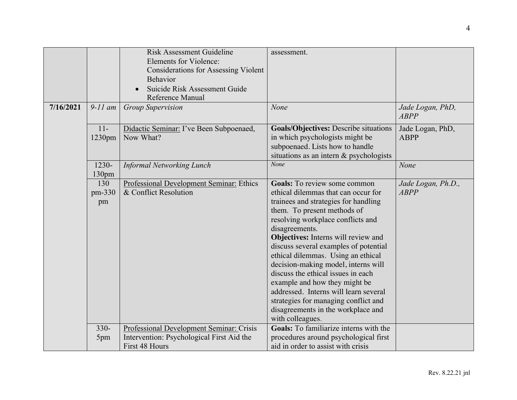|           |                            | <b>Risk Assessment Guideline</b><br><b>Elements for Violence:</b><br><b>Considerations for Assessing Violent</b><br><b>Behavior</b><br>Suicide Risk Assessment Guide<br>Reference Manual | assessment.                                                                                                                                                                                                                                                                                                                                                                                                                                                                                                                                                                             |                                   |
|-----------|----------------------------|------------------------------------------------------------------------------------------------------------------------------------------------------------------------------------------|-----------------------------------------------------------------------------------------------------------------------------------------------------------------------------------------------------------------------------------------------------------------------------------------------------------------------------------------------------------------------------------------------------------------------------------------------------------------------------------------------------------------------------------------------------------------------------------------|-----------------------------------|
| 7/16/2021 | $9-11$ am                  | <b>Group Supervision</b>                                                                                                                                                                 | None                                                                                                                                                                                                                                                                                                                                                                                                                                                                                                                                                                                    | Jade Logan, PhD,<br><b>ABPP</b>   |
|           | $11-$<br>1230pm            | Didactic Seminar: I've Been Subpoenaed,<br>Now What?                                                                                                                                     | Goals/Objectives: Describe situations<br>in which psychologists might be<br>subpoenaed. Lists how to handle<br>situations as an intern $&$ psychologists                                                                                                                                                                                                                                                                                                                                                                                                                                | Jade Logan, PhD,<br><b>ABPP</b>   |
|           | 1230-<br>130 <sub>pm</sub> | <b>Informal Networking Lunch</b>                                                                                                                                                         | None                                                                                                                                                                                                                                                                                                                                                                                                                                                                                                                                                                                    | None                              |
|           | 130<br>pm-330<br>pm        | Professional Development Seminar: Ethics<br>& Conflict Resolution                                                                                                                        | <b>Goals:</b> To review some common<br>ethical dilemmas that can occur for<br>trainees and strategies for handling<br>them. To present methods of<br>resolving workplace conflicts and<br>disagreements.<br>Objectives: Interns will review and<br>discuss several examples of potential<br>ethical dilemmas. Using an ethical<br>decision-making model, interns will<br>discuss the ethical issues in each<br>example and how they might be<br>addressed. Interns will learn several<br>strategies for managing conflict and<br>disagreements in the workplace and<br>with colleagues. | Jade Logan, Ph.D.,<br><b>ABPP</b> |
|           | $330 -$                    | Professional Development Seminar: Crisis<br>Intervention: Psychological First Aid the                                                                                                    | <b>Goals:</b> To familiarize interns with the<br>procedures around psychological first                                                                                                                                                                                                                                                                                                                                                                                                                                                                                                  |                                   |
|           | 5pm                        | First 48 Hours                                                                                                                                                                           | aid in order to assist with crisis                                                                                                                                                                                                                                                                                                                                                                                                                                                                                                                                                      |                                   |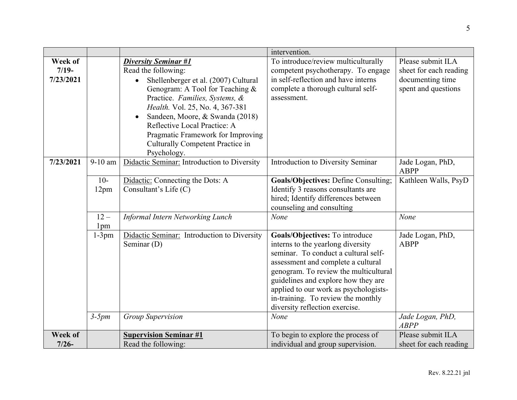|                                 |                           |                                                                                                                                                                                                                                                                                                                                                                            | intervention.                                                                                                                                                                                                                                                                                                                                              |                                                                                        |
|---------------------------------|---------------------------|----------------------------------------------------------------------------------------------------------------------------------------------------------------------------------------------------------------------------------------------------------------------------------------------------------------------------------------------------------------------------|------------------------------------------------------------------------------------------------------------------------------------------------------------------------------------------------------------------------------------------------------------------------------------------------------------------------------------------------------------|----------------------------------------------------------------------------------------|
| Week of<br>$7/19-$<br>7/23/2021 |                           | <b>Diversity Seminar #1</b><br>Read the following:<br>Shellenberger et al. (2007) Cultural<br>$\bullet$<br>Genogram: A Tool for Teaching &<br>Practice. Families, Systems, &<br>Health. Vol. 25, No. 4, 367-381<br>Sandeen, Moore, & Swanda (2018)<br>Reflective Local Practice: A<br>Pragmatic Framework for Improving<br>Culturally Competent Practice in<br>Psychology. | To introduce/review multiculturally<br>competent psychotherapy. To engage<br>in self-reflection and have interns<br>complete a thorough cultural self-<br>assessment.                                                                                                                                                                                      | Please submit ILA<br>sheet for each reading<br>documenting time<br>spent and questions |
| 7/23/2021                       | 9-10 am                   | Didactic Seminar: Introduction to Diversity                                                                                                                                                                                                                                                                                                                                | Introduction to Diversity Seminar                                                                                                                                                                                                                                                                                                                          | Jade Logan, PhD,<br><b>ABPP</b>                                                        |
|                                 | $10-$<br>12pm             | Didactic: Connecting the Dots: A<br>Consultant's Life (C)                                                                                                                                                                                                                                                                                                                  | Goals/Objectives: Define Consulting;<br>Identify 3 reasons consultants are<br>hired; Identify differences between<br>counseling and consulting                                                                                                                                                                                                             | Kathleen Walls, PsyD                                                                   |
|                                 | $12 -$<br>1 <sub>pm</sub> | Informal Intern Networking Lunch                                                                                                                                                                                                                                                                                                                                           | None                                                                                                                                                                                                                                                                                                                                                       | None                                                                                   |
|                                 | $1-3pm$<br>$3-5pm$        | Didactic Seminar: Introduction to Diversity<br>Seminar (D)<br><b>Group Supervision</b>                                                                                                                                                                                                                                                                                     | Goals/Objectives: To introduce<br>interns to the yearlong diversity<br>seminar. To conduct a cultural self-<br>assessment and complete a cultural<br>genogram. To review the multicultural<br>guidelines and explore how they are<br>applied to our work as psychologists-<br>in-training. To review the monthly<br>diversity reflection exercise.<br>None | Jade Logan, PhD,<br><b>ABPP</b><br>Jade Logan, PhD,                                    |
|                                 |                           |                                                                                                                                                                                                                                                                                                                                                                            |                                                                                                                                                                                                                                                                                                                                                            | <b>ABPP</b>                                                                            |
| Week of                         |                           | <b>Supervision Seminar #1</b>                                                                                                                                                                                                                                                                                                                                              | To begin to explore the process of                                                                                                                                                                                                                                                                                                                         | Please submit ILA                                                                      |
| $7/26-$                         |                           | Read the following:                                                                                                                                                                                                                                                                                                                                                        | individual and group supervision.                                                                                                                                                                                                                                                                                                                          | sheet for each reading                                                                 |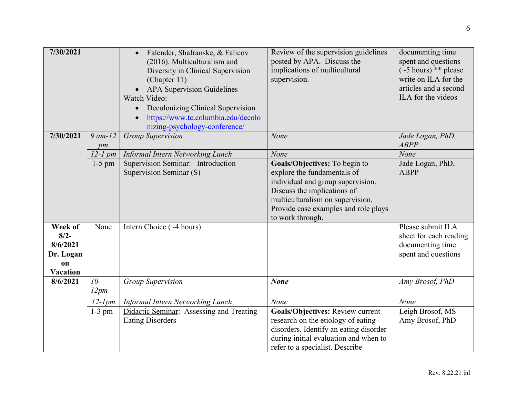| 7/30/2021                                                 |                    | Falender, Shafranske, & Falicov<br>$\bullet$<br>(2016). Multiculturalism and<br>Diversity in Clinical Supervision<br>(Chapter 11)<br><b>APA Supervision Guidelines</b><br>Watch Video:<br>Decolonizing Clinical Supervision<br>$\bullet$<br>https://www.tc.columbia.edu/decolo<br>nizing-psychology-conference/ | Review of the supervision guidelines<br>posted by APA. Discuss the<br>implications of multicultural<br>supervision.                                                                                                              | documenting time<br>spent and questions<br>$(\sim 5 \text{ hours})$ ** please<br>write on ILA for the<br>articles and a second<br>ILA for the videos |
|-----------------------------------------------------------|--------------------|-----------------------------------------------------------------------------------------------------------------------------------------------------------------------------------------------------------------------------------------------------------------------------------------------------------------|----------------------------------------------------------------------------------------------------------------------------------------------------------------------------------------------------------------------------------|------------------------------------------------------------------------------------------------------------------------------------------------------|
| 7/30/2021                                                 | $9$ am- $12$<br>pm | <b>Group Supervision</b>                                                                                                                                                                                                                                                                                        | None                                                                                                                                                                                                                             | Jade Logan, PhD,<br><b>ABPP</b>                                                                                                                      |
|                                                           | $12-1$ pm          | <b>Informal Intern Networking Lunch</b>                                                                                                                                                                                                                                                                         | None                                                                                                                                                                                                                             | None                                                                                                                                                 |
| Week of                                                   | $1-5$ pm<br>None   | Supervision Seminar: Introduction<br>Supervision Seminar (S)<br>Intern Choice $(\sim 4$ hours)                                                                                                                                                                                                                  | Goals/Objectives: To begin to<br>explore the fundamentals of<br>individual and group supervision.<br>Discuss the implications of<br>multiculturalism on supervision.<br>Provide case examples and role plays<br>to work through. | Jade Logan, PhD,<br><b>ABPP</b><br>Please submit ILA                                                                                                 |
| $8/2 -$<br>8/6/2021<br>Dr. Logan<br>on<br><b>Vacation</b> |                    |                                                                                                                                                                                                                                                                                                                 |                                                                                                                                                                                                                                  | sheet for each reading<br>documenting time<br>spent and questions                                                                                    |
| 8/6/2021                                                  | $10-$<br>12pm      | <b>Group Supervision</b>                                                                                                                                                                                                                                                                                        | <b>None</b>                                                                                                                                                                                                                      | Amy Brosof, PhD                                                                                                                                      |
|                                                           | $12$ - $1pm$       | Informal Intern Networking Lunch                                                                                                                                                                                                                                                                                | None                                                                                                                                                                                                                             | None                                                                                                                                                 |
|                                                           | $1-3$ pm           | Didactic Seminar: Assessing and Treating<br><b>Eating Disorders</b>                                                                                                                                                                                                                                             | <b>Goals/Objectives: Review current</b><br>research on the etiology of eating<br>disorders. Identify an eating disorder<br>during initial evaluation and when to<br>refer to a specialist. Describe                              | Leigh Brosof, MS<br>Amy Brosof, PhD                                                                                                                  |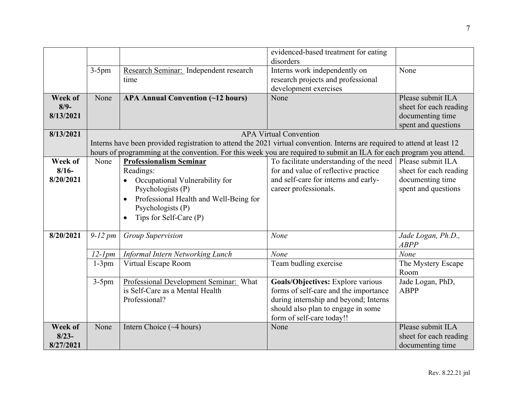|           |              |                                                                                                                           | evidenced-based treatment for eating    |                        |  |  |
|-----------|--------------|---------------------------------------------------------------------------------------------------------------------------|-----------------------------------------|------------------------|--|--|
|           |              |                                                                                                                           | disorders                               |                        |  |  |
|           | $3-5$ pm     | Research Seminar: Independent research                                                                                    | Interns work independently on           | None                   |  |  |
|           |              | time                                                                                                                      | research projects and professional      |                        |  |  |
|           |              |                                                                                                                           | development exercises                   |                        |  |  |
| Week of   | None         | <b>APA Annual Convention (~12 hours)</b>                                                                                  | None                                    | Please submit ILA      |  |  |
| $8/9-$    |              |                                                                                                                           |                                         | sheet for each reading |  |  |
| 8/13/2021 |              |                                                                                                                           |                                         | documenting time       |  |  |
|           |              |                                                                                                                           |                                         | spent and questions    |  |  |
| 8/13/2021 |              |                                                                                                                           | <b>APA Virtual Convention</b>           |                        |  |  |
|           |              | Interns have been provided registration to attend the 2021 virtual convention. Interns are required to attend at least 12 |                                         |                        |  |  |
|           |              | hours of programming at the convention. For this week you are required to submit an ILA for each program you attend.      |                                         |                        |  |  |
| Week of   | None         | <b>Professionalism Seminar</b>                                                                                            | To facilitate understanding of the need | Please submit ILA      |  |  |
| $8/16-$   |              | Readings:                                                                                                                 | for and value of reflective practice    | sheet for each reading |  |  |
| 8/20/2021 |              | Occupational Vulnerability for                                                                                            | and self-care for interns and early-    | documenting time       |  |  |
|           |              | Psychologists (P)                                                                                                         | career professionals.                   | spent and questions    |  |  |
|           |              | Professional Health and Well-Being for                                                                                    |                                         |                        |  |  |
|           |              | Psychologists (P)                                                                                                         |                                         |                        |  |  |
|           |              | Tips for Self-Care (P)                                                                                                    |                                         |                        |  |  |
|           |              |                                                                                                                           |                                         |                        |  |  |
| 8/20/2021 | $9-12$ pm    | <b>Group Supervision</b>                                                                                                  | None                                    | Jade Logan, Ph.D.,     |  |  |
|           |              |                                                                                                                           |                                         | <b>ABPP</b>            |  |  |
|           | $12$ - $1pm$ | Informal Intern Networking Lunch                                                                                          | None                                    | None                   |  |  |
|           | $1-3pm$      | Virtual Escape Room                                                                                                       | Team budling exercise                   | The Mystery Escape     |  |  |
|           |              |                                                                                                                           |                                         | Room                   |  |  |
|           | $3-5$ pm     | Professional Development Seminar: What                                                                                    | Goals/Objectives: Explore various       | Jade Logan, PhD,       |  |  |
|           |              | is Self-Care as a Mental Health                                                                                           | forms of self-care and the importance   | <b>ABPP</b>            |  |  |
|           |              | Professional?                                                                                                             | during internship and beyond; Interns   |                        |  |  |
|           |              |                                                                                                                           | should also plan to engage in some      |                        |  |  |
|           |              |                                                                                                                           | form of self-care today!!               |                        |  |  |
| Week of   | None         | Intern Choice $(\sim 4$ hours)                                                                                            | None                                    | Please submit ILA      |  |  |
| $8/23-$   |              |                                                                                                                           |                                         | sheet for each reading |  |  |
| 8/27/2021 |              |                                                                                                                           |                                         | documenting time       |  |  |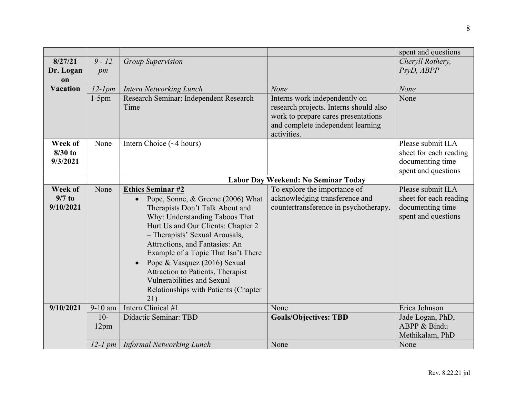|                                  |              |                                                                                                                                                                                                                                                                                                                                                                                                                                                    |                                                                                                         | spent and questions                                                                    |
|----------------------------------|--------------|----------------------------------------------------------------------------------------------------------------------------------------------------------------------------------------------------------------------------------------------------------------------------------------------------------------------------------------------------------------------------------------------------------------------------------------------------|---------------------------------------------------------------------------------------------------------|----------------------------------------------------------------------------------------|
| 8/27/21                          | $9 - 12$     | <b>Group Supervision</b>                                                                                                                                                                                                                                                                                                                                                                                                                           |                                                                                                         | Cheryll Rothery,                                                                       |
| Dr. Logan<br><b>on</b>           | pm           |                                                                                                                                                                                                                                                                                                                                                                                                                                                    |                                                                                                         | PsyD, ABPP                                                                             |
| <b>Vacation</b>                  | $12$ - $1pm$ | <b>Intern Networking Lunch</b>                                                                                                                                                                                                                                                                                                                                                                                                                     | None                                                                                                    | None                                                                                   |
|                                  | $1-5$ pm     | Research Seminar: Independent Research                                                                                                                                                                                                                                                                                                                                                                                                             | Interns work independently on                                                                           | None                                                                                   |
|                                  |              | Time                                                                                                                                                                                                                                                                                                                                                                                                                                               | research projects. Interns should also                                                                  |                                                                                        |
|                                  |              |                                                                                                                                                                                                                                                                                                                                                                                                                                                    | work to prepare cares presentations                                                                     |                                                                                        |
|                                  |              |                                                                                                                                                                                                                                                                                                                                                                                                                                                    | and complete independent learning<br>activities.                                                        |                                                                                        |
| Week of                          | None         | Intern Choice $(\sim 4$ hours)                                                                                                                                                                                                                                                                                                                                                                                                                     |                                                                                                         | Please submit ILA                                                                      |
| $8/30$ to                        |              |                                                                                                                                                                                                                                                                                                                                                                                                                                                    |                                                                                                         | sheet for each reading                                                                 |
| 9/3/2021                         |              |                                                                                                                                                                                                                                                                                                                                                                                                                                                    |                                                                                                         | documenting time                                                                       |
|                                  |              |                                                                                                                                                                                                                                                                                                                                                                                                                                                    |                                                                                                         | spent and questions                                                                    |
|                                  |              |                                                                                                                                                                                                                                                                                                                                                                                                                                                    | Labor Day Weekend: No Seminar Today                                                                     |                                                                                        |
| Week of<br>$9/7$ to<br>9/10/2021 | None         | <b>Ethics Seminar #2</b><br>Pope, Sonne, & Greene (2006) What<br>$\bullet$<br>Therapists Don't Talk About and<br>Why: Understanding Taboos That<br>Hurt Us and Our Clients: Chapter 2<br>- Therapists' Sexual Arousals,<br>Attractions, and Fantasies: An<br>Example of a Topic That Isn't There<br>Pope & Vasquez (2016) Sexual<br>Attraction to Patients, Therapist<br>Vulnerabilities and Sexual<br>Relationships with Patients (Chapter<br>21) | To explore the importance of<br>acknowledging transference and<br>countertransference in psychotherapy. | Please submit ILA<br>sheet for each reading<br>documenting time<br>spent and questions |
| 9/10/2021                        | $9-10$ am    | Intern Clinical #1                                                                                                                                                                                                                                                                                                                                                                                                                                 | None                                                                                                    | Erica Johnson                                                                          |
|                                  | $10-$        | Didactic Seminar: TBD                                                                                                                                                                                                                                                                                                                                                                                                                              | <b>Goals/Objectives: TBD</b>                                                                            | Jade Logan, PhD,                                                                       |
|                                  | 12pm         |                                                                                                                                                                                                                                                                                                                                                                                                                                                    |                                                                                                         | ABPP & Bindu                                                                           |
|                                  |              |                                                                                                                                                                                                                                                                                                                                                                                                                                                    |                                                                                                         | Methikalam, PhD                                                                        |
|                                  |              | 12-1 pm   Informal Networking Lunch                                                                                                                                                                                                                                                                                                                                                                                                                | None                                                                                                    | None                                                                                   |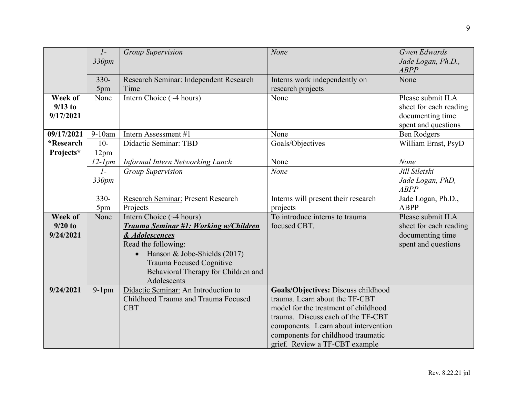|            |                 |                                           | None                                 | Gwen Edwards           |
|------------|-----------------|-------------------------------------------|--------------------------------------|------------------------|
|            | $\mathcal{I}$ - | <b>Group Supervision</b>                  |                                      |                        |
|            | 330pm           |                                           |                                      | Jade Logan, Ph.D.,     |
|            |                 |                                           |                                      | <b>ABPP</b>            |
|            | $330 -$         | Research Seminar: Independent Research    | Interns work independently on        | None                   |
|            | 5pm             | Time                                      | research projects                    |                        |
| Week of    | None            | Intern Choice $(\sim 4$ hours)            | None                                 | Please submit ILA      |
| $9/13$ to  |                 |                                           |                                      | sheet for each reading |
| 9/17/2021  |                 |                                           |                                      | documenting time       |
|            |                 |                                           |                                      | spent and questions    |
| 09/17/2021 | $9-10am$        | Intern Assessment #1                      | None                                 | <b>Ben Rodgers</b>     |
| *Research  | $10-$           | Didactic Seminar: TBD                     | Goals/Objectives                     | William Ernst, PsyD    |
| Projects*  | 12pm            |                                           |                                      |                        |
|            | $12$ - $1pm$    | Informal Intern Networking Lunch          | None                                 | None                   |
|            | $1-$            | <b>Group Supervision</b>                  | None                                 | Jill Siletski          |
|            | 330pm           |                                           |                                      | Jade Logan, PhD,       |
|            |                 |                                           |                                      | <b>ABPP</b>            |
|            | 330-            | Research Seminar: Present Research        | Interns will present their research  | Jade Logan, Ph.D.,     |
|            | 5pm             | Projects                                  | projects                             | <b>ABPP</b>            |
| Week of    | None            | Intern Choice (~4 hours)                  | To introduce interns to trauma       | Please submit ILA      |
| $9/20$ to  |                 | Trauma Seminar #1: Working w/Children     | focused CBT.                         | sheet for each reading |
| 9/24/2021  |                 | & Adolescences                            |                                      | documenting time       |
|            |                 | Read the following:                       |                                      | spent and questions    |
|            |                 | Hanson & Jobe-Shields (2017)<br>$\bullet$ |                                      |                        |
|            |                 |                                           |                                      |                        |
|            |                 | Trauma Focused Cognitive                  |                                      |                        |
|            |                 | Behavioral Therapy for Children and       |                                      |                        |
|            |                 | Adolescents                               |                                      |                        |
| 9/24/2021  | $9-1$ pm        | Didactic Seminar: An Introduction to      | Goals/Objectives: Discuss childhood  |                        |
|            |                 | Childhood Trauma and Trauma Focused       | trauma. Learn about the TF-CBT       |                        |
|            |                 | <b>CBT</b>                                | model for the treatment of childhood |                        |
|            |                 |                                           | trauma. Discuss each of the TF-CBT   |                        |
|            |                 |                                           | components. Learn about intervention |                        |
|            |                 |                                           | components for childhood traumatic   |                        |
|            |                 |                                           | grief. Review a TF-CBT example       |                        |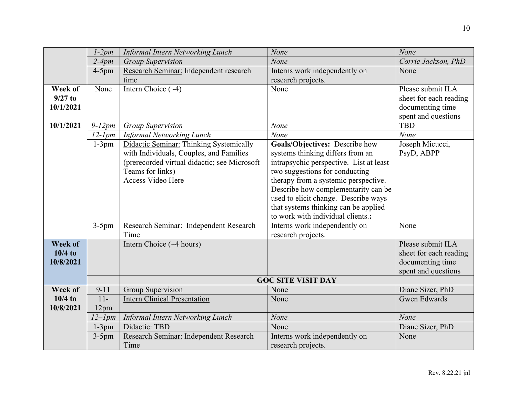|                | $1-2pm$      | <b>Informal Intern Networking Lunch</b>      | None                                    | None                   |
|----------------|--------------|----------------------------------------------|-----------------------------------------|------------------------|
|                | $2-4pm$      | <b>Group Supervision</b>                     | None                                    | Corrie Jackson, PhD    |
|                | $4-5$ pm     | Research Seminar: Independent research       | Interns work independently on           | None                   |
|                |              | time                                         | research projects.                      |                        |
| Week of        | None         | Intern Choice $(\sim 4)$                     | None                                    | Please submit ILA      |
| $9/27$ to      |              |                                              |                                         | sheet for each reading |
| 10/1/2021      |              |                                              |                                         | documenting time       |
|                |              |                                              |                                         | spent and questions    |
| 10/1/2021      | $9-12pm$     | Group Supervision                            | None                                    | <b>TBD</b>             |
|                | $12$ - $1pm$ | <b>Informal Networking Lunch</b>             | None                                    | None                   |
|                | $1-3pm$      | Didactic Seminar: Thinking Systemically      | Goals/Objectives: Describe how          | Joseph Micucci,        |
|                |              | with Individuals, Couples, and Families      | systems thinking differs from an        | PsyD, ABPP             |
|                |              | (prerecorded virtual didactic; see Microsoft | intrapsychic perspective. List at least |                        |
|                |              | Teams for links)                             | two suggestions for conducting          |                        |
|                |              | Access Video Here                            | therapy from a systemic perspective.    |                        |
|                |              |                                              | Describe how complementarity can be     |                        |
|                |              |                                              | used to elicit change. Describe ways    |                        |
|                |              |                                              | that systems thinking can be applied    |                        |
|                |              |                                              | to work with individual clients.:       |                        |
|                | $3-5$ pm     | Research Seminar: Independent Research       | Interns work independently on           | None                   |
|                |              | Time                                         | research projects.                      |                        |
| <b>Week of</b> |              | Intern Choice $(\sim 4 \text{ hours})$       |                                         | Please submit ILA      |
| $10/4$ to      |              |                                              |                                         | sheet for each reading |
| 10/8/2021      |              |                                              |                                         | documenting time       |
|                |              |                                              |                                         | spent and questions    |
|                |              |                                              | <b>GOC SITE VISIT DAY</b>               |                        |
| Week of        | $9 - 11$     | <b>Group Supervision</b>                     | None                                    | Diane Sizer, PhD       |
| $10/4$ to      | $11-$        | <b>Intern Clinical Presentation</b>          | None                                    | <b>Gwen Edwards</b>    |
| 10/8/2021      | 12pm         |                                              |                                         |                        |
|                | $12$ -Ipm    | <b>Informal Intern Networking Lunch</b>      | None                                    | None                   |
|                | $1-3pm$      | Didactic: TBD                                | None                                    | Diane Sizer, PhD       |
|                | $3-5$ pm     | Research Seminar: Independent Research       | Interns work independently on           | None                   |
|                |              | Time                                         | research projects.                      |                        |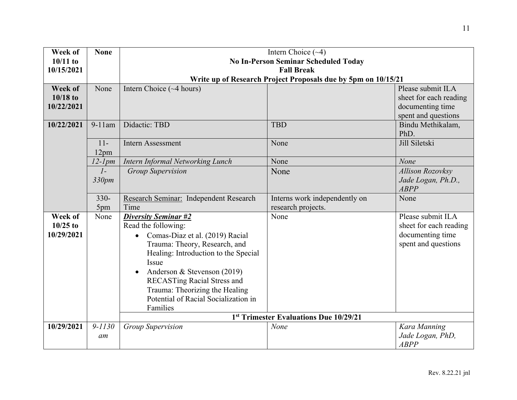| Week of    | <b>None</b>  |                                              | Intern Choice $(\sim 4)$                                      |                         |
|------------|--------------|----------------------------------------------|---------------------------------------------------------------|-------------------------|
| $10/11$ to |              | <b>No In-Person Seminar Scheduled Today</b>  |                                                               |                         |
| 10/15/2021 |              | <b>Fall Break</b>                            |                                                               |                         |
|            |              |                                              | Write up of Research Project Proposals due by 5pm on 10/15/21 |                         |
| Week of    | None         | Intern Choice (~4 hours)                     |                                                               | Please submit ILA       |
| $10/18$ to |              |                                              |                                                               | sheet for each reading  |
| 10/22/2021 |              |                                              |                                                               | documenting time        |
|            |              |                                              |                                                               | spent and questions     |
| 10/22/2021 | $9-11$ am    | Didactic: TBD                                | <b>TBD</b>                                                    | Bindu Methikalam,       |
|            |              |                                              |                                                               | PhD.                    |
|            | $11-$        | <b>Intern Assessment</b>                     | None                                                          | Jill Siletski           |
|            | 12pm         |                                              |                                                               |                         |
|            | $12$ - $1pm$ | Intern Informal Networking Lunch             | None                                                          | None                    |
|            | $1-$         | <b>Group Supervision</b>                     | None                                                          | <b>Allison Rozovksy</b> |
|            | 330pm        |                                              |                                                               | Jade Logan, Ph.D.,      |
|            |              |                                              |                                                               | <b>ABPP</b>             |
|            | $330 -$      | Research Seminar: Independent Research       | Interns work independently on                                 | None                    |
|            | 5pm          | Time                                         | research projects.                                            |                         |
| Week of    | None         | <b>Diversity Seminar #2</b>                  | None                                                          | Please submit ILA       |
| $10/25$ to |              | Read the following:                          |                                                               | sheet for each reading  |
| 10/29/2021 |              | Comas-Diaz et al. (2019) Racial<br>$\bullet$ |                                                               | documenting time        |
|            |              | Trauma: Theory, Research, and                |                                                               | spent and questions     |
|            |              | Healing: Introduction to the Special         |                                                               |                         |
|            |              | Issue                                        |                                                               |                         |
|            |              | Anderson & Stevenson (2019)                  |                                                               |                         |
|            |              | <b>RECASTing Racial Stress and</b>           |                                                               |                         |
|            |              | Trauma: Theorizing the Healing               |                                                               |                         |
|            |              | Potential of Racial Socialization in         |                                                               |                         |
|            |              | Families                                     |                                                               |                         |
|            |              |                                              | 1st Trimester Evaluations Due 10/29/21                        |                         |
| 10/29/2021 | $9 - 1130$   | <b>Group Supervision</b>                     | None                                                          | Kara Manning            |
|            | am           |                                              |                                                               | Jade Logan, PhD,        |
|            |              |                                              |                                                               | <b>ABPP</b>             |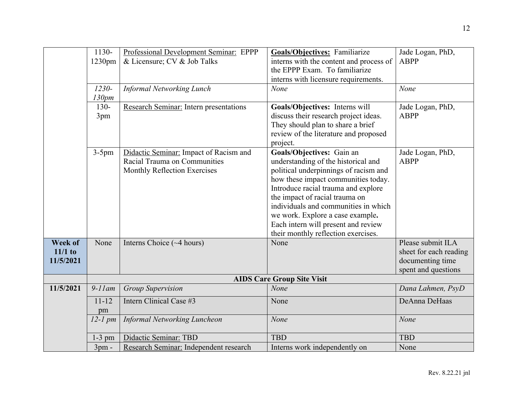|                | 1130-<br>$1230$ pm | Professional Development Seminar: EPPP<br>& Licensure; CV & Job Talks | Goals/Objectives: Familiarize<br>interns with the content and process of | Jade Logan, PhD,<br><b>ABPP</b> |
|----------------|--------------------|-----------------------------------------------------------------------|--------------------------------------------------------------------------|---------------------------------|
|                |                    |                                                                       | the EPPP Exam. To familiarize                                            |                                 |
|                |                    |                                                                       | interns with licensure requirements.                                     |                                 |
|                | $1230 -$           | <b>Informal Networking Lunch</b>                                      | None                                                                     | None                            |
|                | 130pm              |                                                                       |                                                                          |                                 |
|                | $130 -$            | Research Seminar: Intern presentations                                | Goals/Objectives: Interns will                                           | Jade Logan, PhD,                |
|                | 3pm                |                                                                       | discuss their research project ideas.                                    | <b>ABPP</b>                     |
|                |                    |                                                                       | They should plan to share a brief                                        |                                 |
|                |                    |                                                                       | review of the literature and proposed                                    |                                 |
|                |                    |                                                                       | project.                                                                 |                                 |
|                | $3-5$ pm           | Didactic Seminar: Impact of Racism and                                | Goals/Objectives: Gain an                                                | Jade Logan, PhD,                |
|                |                    | Racial Trauma on Communities                                          | understanding of the historical and                                      | <b>ABPP</b>                     |
|                |                    | Monthly Reflection Exercises                                          | political underpinnings of racism and                                    |                                 |
|                |                    |                                                                       | how these impact communities today.                                      |                                 |
|                |                    |                                                                       | Introduce racial trauma and explore                                      |                                 |
|                |                    |                                                                       | the impact of racial trauma on                                           |                                 |
|                |                    |                                                                       | individuals and communities in which                                     |                                 |
|                |                    |                                                                       | we work. Explore a case example.                                         |                                 |
|                |                    |                                                                       | Each intern will present and review                                      |                                 |
|                |                    |                                                                       | their monthly reflection exercises.                                      |                                 |
| <b>Week of</b> | None               | Interns Choice $(\sim 4$ hours)                                       | None                                                                     | Please submit ILA               |
| $11/1$ to      |                    |                                                                       |                                                                          | sheet for each reading          |
| 11/5/2021      |                    |                                                                       |                                                                          | documenting time                |
|                |                    |                                                                       |                                                                          | spent and questions             |
|                |                    |                                                                       | <b>AIDS Care Group Site Visit</b>                                        |                                 |
| 11/5/2021      | $9-11$ am          | <b>Group Supervision</b>                                              | None                                                                     | Dana Lahmen, PsyD               |
|                | $11 - 12$          | Intern Clinical Case #3                                               | None                                                                     | DeAnna DeHaas                   |
|                | pm                 |                                                                       |                                                                          |                                 |
|                | $12$ -1 pm         | <b>Informal Networking Luncheon</b>                                   | None                                                                     | None                            |
|                | $1-3$ pm           | Didactic Seminar: TBD                                                 | <b>TBD</b>                                                               | <b>TBD</b>                      |
|                | $3pm -$            | Research Seminar: Independent research                                | Interns work independently on                                            | None                            |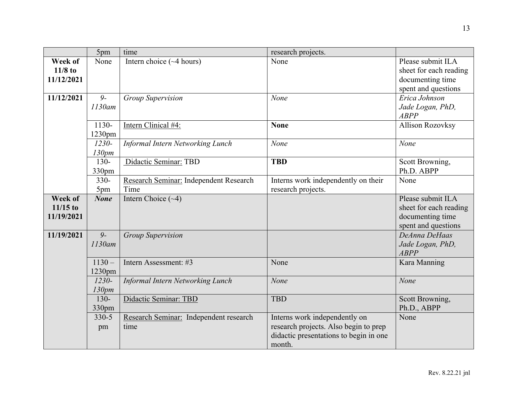|                                     | 5pm                          | time                                           | research projects.                                                                                                         |                                                                                        |
|-------------------------------------|------------------------------|------------------------------------------------|----------------------------------------------------------------------------------------------------------------------------|----------------------------------------------------------------------------------------|
| Week of<br>$11/8$ to<br>11/12/2021  | None                         | Intern choice $(\sim 4$ hours)                 | None                                                                                                                       | Please submit ILA<br>sheet for each reading<br>documenting time<br>spent and questions |
| 11/12/2021                          | $9-$<br>1130am               | <b>Group Supervision</b>                       | None                                                                                                                       | Erica Johnson<br>Jade Logan, PhD,<br><b>ABPP</b>                                       |
|                                     | 1130-<br>1230pm              | Intern Clinical #4:                            | <b>None</b>                                                                                                                | <b>Allison Rozovksy</b>                                                                |
|                                     | $1230 -$<br>130pm            | <b>Informal Intern Networking Lunch</b>        | None                                                                                                                       | None                                                                                   |
|                                     | $130 -$<br>330 <sub>pm</sub> | Didactic Seminar: TBD                          | <b>TBD</b>                                                                                                                 | Scott Browning,<br>Ph.D. ABPP                                                          |
|                                     | $330 -$<br>5pm               | Research Seminar: Independent Research<br>Time | Interns work independently on their<br>research projects.                                                                  | None                                                                                   |
| Week of<br>$11/15$ to<br>11/19/2021 | <b>None</b>                  | Intern Choice $(\sim 4)$                       |                                                                                                                            | Please submit ILA<br>sheet for each reading<br>documenting time<br>spent and questions |
| 11/19/2021                          | $\overline{9}$<br>$1130$ am  | <b>Group Supervision</b>                       |                                                                                                                            | DeAnna DeHaas<br>Jade Logan, PhD,<br><b>ABPP</b>                                       |
|                                     | $1130 -$<br>1230pm           | Intern Assessment: #3                          | None                                                                                                                       | Kara Manning                                                                           |
|                                     | $1230 -$<br>130pm            | Informal Intern Networking Lunch               | None                                                                                                                       | None                                                                                   |
|                                     | $130 -$<br>330pm             | Didactic Seminar: TBD                          | <b>TBD</b>                                                                                                                 | Scott Browning,<br>Ph.D., ABPP                                                         |
|                                     | $330 - 5$<br>pm              | Research Seminar: Independent research<br>time | Interns work independently on<br>research projects. Also begin to prep<br>didactic presentations to begin in one<br>month. | None                                                                                   |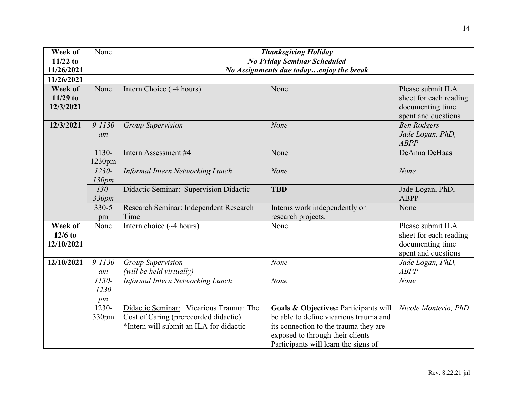| Week of<br>$11/22$ to<br>11/26/2021 | None       | <b>Thanksgiving Holiday</b><br><b>No Friday Seminar Scheduled</b><br>No Assignments due todayenjoy the break |                                        |                        |
|-------------------------------------|------------|--------------------------------------------------------------------------------------------------------------|----------------------------------------|------------------------|
| 11/26/2021                          |            |                                                                                                              |                                        |                        |
| Week of                             | None       | Intern Choice $(\sim 4$ hours)                                                                               | None                                   | Please submit ILA      |
| $11/29$ to                          |            |                                                                                                              |                                        | sheet for each reading |
| 12/3/2021                           |            |                                                                                                              |                                        | documenting time       |
|                                     |            |                                                                                                              |                                        | spent and questions    |
| 12/3/2021                           | $9 - 1130$ | <b>Group Supervision</b>                                                                                     | None                                   | <b>Ben Rodgers</b>     |
|                                     | am         |                                                                                                              |                                        | Jade Logan, PhD,       |
|                                     |            |                                                                                                              |                                        | <b>ABPP</b>            |
|                                     | 1130-      | Intern Assessment #4                                                                                         | None                                   | DeAnna DeHaas          |
|                                     | 1230pm     |                                                                                                              |                                        |                        |
|                                     | $1230 -$   | Informal Intern Networking Lunch                                                                             | None                                   | None                   |
|                                     | 130pm      |                                                                                                              |                                        |                        |
|                                     | $130-$     | Didactic Seminar: Supervision Didactic                                                                       | <b>TBD</b>                             | Jade Logan, PhD,       |
|                                     | 330pm      |                                                                                                              |                                        | <b>ABPP</b>            |
|                                     | $330 - 5$  | Research Seminar: Independent Research                                                                       | Interns work independently on          | None                   |
|                                     | pm         | Time                                                                                                         | research projects.                     |                        |
| Week of                             | None       | Intern choice $(\sim 4$ hours)                                                                               | None                                   | Please submit ILA      |
| $12/6$ to                           |            |                                                                                                              |                                        | sheet for each reading |
| 12/10/2021                          |            |                                                                                                              |                                        | documenting time       |
|                                     |            |                                                                                                              |                                        | spent and questions    |
| 12/10/2021                          | $9 - 1130$ | <b>Group Supervision</b>                                                                                     | None                                   | Jade Logan, PhD,       |
|                                     | am         | (will be held virtually)                                                                                     |                                        | <b>ABPP</b>            |
|                                     | $1130-$    | <b>Informal Intern Networking Lunch</b>                                                                      | None                                   | None                   |
|                                     | 1230       |                                                                                                              |                                        |                        |
|                                     | pm         |                                                                                                              |                                        |                        |
|                                     | 1230-      | Didactic Seminar: Vicarious Trauma: The                                                                      | Goals & Objectives: Participants will  | Nicole Monterio, PhD   |
|                                     | 330pm      | Cost of Caring (prerecorded didactic)                                                                        | be able to define vicarious trauma and |                        |
|                                     |            | *Intern will submit an ILA for didactic                                                                      | its connection to the trauma they are  |                        |
|                                     |            |                                                                                                              | exposed to through their clients       |                        |
|                                     |            |                                                                                                              | Participants will learn the signs of   |                        |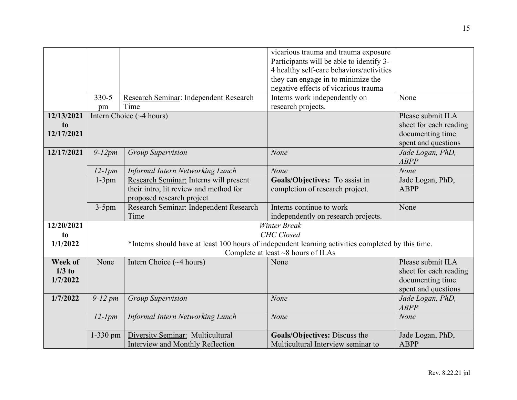|            |              |                                                                                                    | vicarious trauma and trauma exposure<br>Participants will be able to identify 3- |                        |
|------------|--------------|----------------------------------------------------------------------------------------------------|----------------------------------------------------------------------------------|------------------------|
|            |              |                                                                                                    | 4 healthy self-care behaviors/activities                                         |                        |
|            |              |                                                                                                    | they can engage in to minimize the                                               |                        |
|            |              |                                                                                                    | negative effects of vicarious trauma                                             |                        |
|            | $330 - 5$    | Research Seminar: Independent Research                                                             | Interns work independently on                                                    | None                   |
|            | pm           | Time                                                                                               | research projects.                                                               |                        |
| 12/13/2021 |              | Intern Choice $(\sim 4 \text{ hours})$                                                             |                                                                                  | Please submit ILA      |
| to         |              |                                                                                                    |                                                                                  | sheet for each reading |
| 12/17/2021 |              |                                                                                                    |                                                                                  | documenting time       |
|            |              |                                                                                                    |                                                                                  | spent and questions    |
| 12/17/2021 | $9-12pm$     | <b>Group Supervision</b>                                                                           | None                                                                             | Jade Logan, PhD,       |
|            |              |                                                                                                    |                                                                                  | <b>ABPP</b>            |
|            | $12$ - $1pm$ | Informal Intern Networking Lunch                                                                   | None                                                                             | None                   |
|            | $1-3pm$      | Research Seminar: Interns will present                                                             | Goals/Objectives: To assist in                                                   | Jade Logan, PhD,       |
|            |              | their intro, lit review and method for                                                             | completion of research project.                                                  | <b>ABPP</b>            |
|            |              | proposed research project                                                                          |                                                                                  |                        |
|            | $3-5$ pm     | Research Seminar: Independent Research                                                             | Interns continue to work                                                         | None                   |
|            |              | Time                                                                                               | independently on research projects.                                              |                        |
| 12/20/2021 |              |                                                                                                    | <b>Winter Break</b>                                                              |                        |
| to         |              |                                                                                                    | <b>CHC</b> Closed                                                                |                        |
| 1/1/2022   |              | *Interns should have at least 100 hours of independent learning activities completed by this time. |                                                                                  |                        |
|            |              |                                                                                                    | Complete at least $\sim$ 8 hours of ILAs                                         |                        |
| Week of    | None         | Intern Choice $(\sim 4$ hours)                                                                     | None                                                                             | Please submit ILA      |
| $1/3$ to   |              |                                                                                                    |                                                                                  | sheet for each reading |
| 1/7/2022   |              |                                                                                                    |                                                                                  | documenting time       |
|            |              |                                                                                                    |                                                                                  | spent and questions    |
| 1/7/2022   | $9-12$ pm    | <b>Group Supervision</b>                                                                           | None                                                                             | Jade Logan, PhD,       |
|            |              |                                                                                                    |                                                                                  | <b>ABPP</b>            |
|            | $12$ - $1pm$ | <b>Informal Intern Networking Lunch</b>                                                            | None                                                                             | None                   |
|            | $1-330$ pm   | Diversity Seminar: Multicultural                                                                   | Goals/Objectives: Discuss the                                                    | Jade Logan, PhD,       |
|            |              | Interview and Monthly Reflection                                                                   | Multicultural Interview seminar to                                               | <b>ABPP</b>            |
|            |              |                                                                                                    |                                                                                  |                        |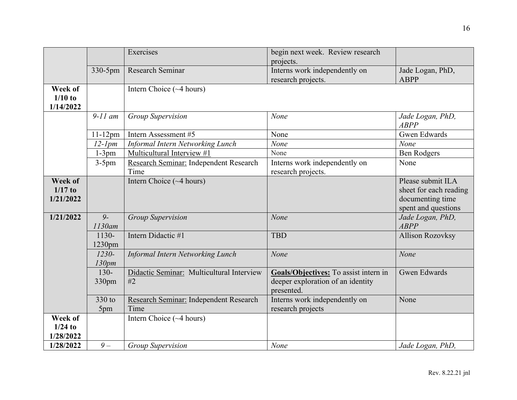|                                          |                   | Exercises                                       | begin next week. Review research<br>projects.                                            |                                                                                        |
|------------------------------------------|-------------------|-------------------------------------------------|------------------------------------------------------------------------------------------|----------------------------------------------------------------------------------------|
|                                          | 330-5pm           | Research Seminar                                | Interns work independently on<br>research projects.                                      | Jade Logan, PhD,<br><b>ABPP</b>                                                        |
| Week of<br>$1/10$ to<br>1/14/2022        |                   | Intern Choice $(\sim 4 \text{ hours})$          |                                                                                          |                                                                                        |
|                                          | $9-11$ am         | <b>Group Supervision</b>                        | None                                                                                     | Jade Logan, PhD,<br><b>ABPP</b>                                                        |
|                                          | $11-12$ pm        | Intern Assessment #5                            | None                                                                                     | <b>Gwen Edwards</b>                                                                    |
|                                          | $12$ - $1pm$      | <b>Informal Intern Networking Lunch</b>         | None                                                                                     | None                                                                                   |
|                                          | $1-3pm$           | Multicultural Interview #1                      | None                                                                                     | <b>Ben Rodgers</b>                                                                     |
|                                          | $3-5$ pm          | Research Seminar: Independent Research<br>Time  | Interns work independently on<br>research projects.                                      | None                                                                                   |
| <b>Week of</b><br>$1/17$ to<br>1/21/2022 |                   | Intern Choice (~4 hours)                        |                                                                                          | Please submit ILA<br>sheet for each reading<br>documenting time<br>spent and questions |
| 1/21/2022                                | $9-$<br>$1130$ am | <b>Group Supervision</b>                        | None                                                                                     | Jade Logan, PhD,<br><b>ABPP</b>                                                        |
|                                          | 1130-<br>1230pm   | Intern Didactic #1                              | <b>TBD</b>                                                                               | <b>Allison Rozovksy</b>                                                                |
|                                          | $1230 -$<br>130pm | <b>Informal Intern Networking Lunch</b>         | None                                                                                     | None                                                                                   |
|                                          | $130 -$<br>330pm  | Didactic Seminar: Multicultural Interview<br>#2 | Goals/Objectives: To assist intern in<br>deeper exploration of an identity<br>presented. | <b>Gwen Edwards</b>                                                                    |
|                                          | 330 to<br>5pm     | Research Seminar: Independent Research<br>Time  | Interns work independently on<br>research projects                                       | None                                                                                   |
| Week of<br>$1/24$ to<br>1/28/2022        |                   | Intern Choice $(\sim 4$ hours)                  |                                                                                          |                                                                                        |
| 1/28/2022                                | $9-$              | <b>Group Supervision</b>                        | None                                                                                     | Jade Logan, PhD,                                                                       |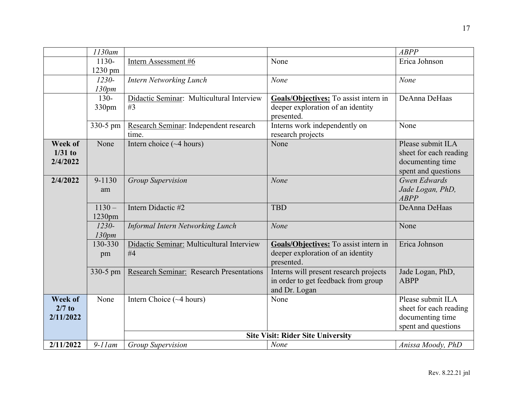|                | 1130am    |                                                 |                                          | <b>ABPP</b>                     |
|----------------|-----------|-------------------------------------------------|------------------------------------------|---------------------------------|
|                | $1130-$   | Intern Assessment #6                            | None                                     | Erica Johnson                   |
|                | 1230 pm   |                                                 |                                          |                                 |
|                | $1230 -$  | <b>Intern Networking Lunch</b>                  | None                                     | None                            |
|                | 130pm     |                                                 |                                          |                                 |
|                | $130 -$   | Didactic Seminar: Multicultural Interview       | Goals/Objectives: To assist intern in    | DeAnna DeHaas                   |
|                | 330pm     | #3                                              | deeper exploration of an identity        |                                 |
|                |           |                                                 | presented.                               |                                 |
|                | 330-5 pm  | Research Seminar: Independent research          | Interns work independently on            | None                            |
|                |           | time.                                           | research projects                        |                                 |
| <b>Week of</b> | None      | Intern choice $(\sim 4 \text{ hours})$          | None                                     | Please submit ILA               |
| $1/31$ to      |           |                                                 |                                          | sheet for each reading          |
| 2/4/2022       |           |                                                 |                                          | documenting time                |
|                |           |                                                 |                                          | spent and questions             |
| 2/4/2022       | 9-1130    | <b>Group Supervision</b>                        | None                                     | Gwen Edwards                    |
|                | am        |                                                 |                                          | Jade Logan, PhD,                |
|                |           |                                                 |                                          | <b>ABPP</b>                     |
|                | $1130 -$  | Intern Didactic #2                              | <b>TBD</b>                               | DeAnna DeHaas                   |
|                | $1230$ pm |                                                 |                                          |                                 |
|                | $1230 -$  | <b>Informal Intern Networking Lunch</b>         | None                                     | None                            |
|                | 130pm     |                                                 |                                          |                                 |
|                | 130-330   | Didactic Seminar: Multicultural Interview       | Goals/Objectives: To assist intern in    | Erica Johnson                   |
|                | pm        | #4                                              | deeper exploration of an identity        |                                 |
|                |           |                                                 | presented.                               |                                 |
|                | 330-5 pm  | <b>Research Seminar: Research Presentations</b> | Interns will present research projects   | Jade Logan, PhD,<br><b>ABPP</b> |
|                |           |                                                 | in order to get feedback from group      |                                 |
| Week of        | None      | Intern Choice $(\sim 4 \text{ hours})$          | and Dr. Logan<br>None                    | Please submit ILA               |
| $2/7$ to       |           |                                                 |                                          | sheet for each reading          |
| 2/11/2022      |           |                                                 |                                          | documenting time                |
|                |           |                                                 |                                          | spent and questions             |
|                |           |                                                 | <b>Site Visit: Rider Site University</b> |                                 |
| 2/11/2022      | $9-11$ am | <b>Group Supervision</b>                        | <b>None</b>                              | Anissa Moody, PhD               |
|                |           |                                                 |                                          |                                 |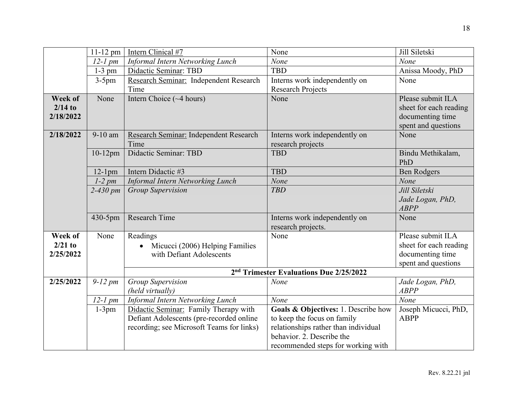|           | 11-12 pm     | Intern Clinical #7                        | None                                                | Jill Siletski          |
|-----------|--------------|-------------------------------------------|-----------------------------------------------------|------------------------|
|           | $12-1$ pm    | Informal Intern Networking Lunch          | None                                                | None                   |
|           | $1-3$ pm     | Didactic Seminar: TBD                     | <b>TBD</b>                                          | Anissa Moody, PhD      |
|           | $3-5$ pm     | Research Seminar: Independent Research    | Interns work independently on                       | None                   |
|           |              | Time                                      | <b>Research Projects</b>                            |                        |
| Week of   | None         | Intern Choice (~4 hours)                  | None                                                | Please submit ILA      |
| $2/14$ to |              |                                           |                                                     | sheet for each reading |
| 2/18/2022 |              |                                           |                                                     | documenting time       |
|           |              |                                           |                                                     | spent and questions    |
| 2/18/2022 | 9-10 am      | Research Seminar: Independent Research    | Interns work independently on                       | None                   |
|           |              | Time                                      | research projects                                   |                        |
|           | $10-12$ pm   | Didactic Seminar: TBD                     | <b>TBD</b>                                          | Bindu Methikalam,      |
|           |              |                                           |                                                     | PhD                    |
|           | $12-1$ pm    | Intern Didactic #3                        | <b>TBD</b>                                          | <b>Ben Rodgers</b>     |
|           | $1-2$ pm     | <b>Informal Intern Networking Lunch</b>   | None                                                | None                   |
|           | $2 - 430$ pm | <b>Group Supervision</b>                  | <b>TBD</b>                                          | Jill Siletski          |
|           |              |                                           |                                                     | Jade Logan, PhD,       |
|           |              |                                           |                                                     | <b>ABPP</b>            |
|           | 430-5pm      | <b>Research Time</b>                      | Interns work independently on                       | None                   |
|           |              |                                           | research projects.                                  |                        |
| Week of   | None         | Readings                                  | None                                                | Please submit ILA      |
| $2/21$ to |              | Micucci (2006) Helping Families           |                                                     | sheet for each reading |
| 2/25/2022 |              | with Defiant Adolescents                  |                                                     | documenting time       |
|           |              |                                           |                                                     | spent and questions    |
|           |              |                                           | 2 <sup>nd</sup> Trimester Evaluations Due 2/25/2022 |                        |
| 2/25/2022 | $9-12$ pm    | <b>Group Supervision</b>                  | None                                                | Jade Logan, PhD,       |
|           |              | (held virtually)                          |                                                     | <b>ABPP</b>            |
|           | $12-1$ pm    | Informal Intern Networking Lunch          | None                                                | None                   |
|           | $1-3pm$      | Didactic Seminar: Family Therapy with     | Goals & Objectives: 1. Describe how                 | Joseph Micucci, PhD,   |
|           |              | Defiant Adolescents (pre-recorded online  | to keep the focus on family                         | <b>ABPP</b>            |
|           |              | recording; see Microsoft Teams for links) | relationships rather than individual                |                        |
|           |              |                                           | behavior. 2. Describe the                           |                        |
|           |              |                                           | recommended steps for working with                  |                        |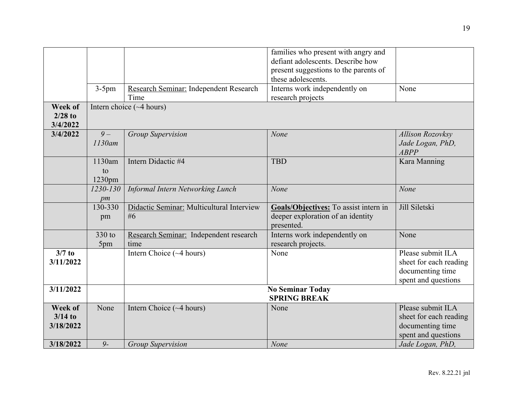|                      |           |                                           | families who present with angry and   |                         |
|----------------------|-----------|-------------------------------------------|---------------------------------------|-------------------------|
|                      |           |                                           | defiant adolescents. Describe how     |                         |
|                      |           |                                           | present suggestions to the parents of |                         |
|                      |           |                                           | these adolescents.                    |                         |
|                      | $3-5$ pm  | Research Seminar: Independent Research    | Interns work independently on         | None                    |
|                      |           | Time                                      | research projects                     |                         |
| Week of<br>$2/28$ to |           | Intern choice $(\sim 4$ hours)            |                                       |                         |
| 3/4/2022             |           |                                           |                                       |                         |
| 3/4/2022             | $9-$      | <b>Group Supervision</b>                  | None                                  | <b>Allison Rozovksy</b> |
|                      | $1130$ am |                                           |                                       | Jade Logan, PhD,        |
|                      |           |                                           |                                       | ABPP                    |
|                      | 1130am    | Intern Didactic #4                        | <b>TBD</b>                            | Kara Manning            |
|                      | to        |                                           |                                       |                         |
|                      | 1230pm    |                                           |                                       |                         |
|                      | 1230-130  | Informal Intern Networking Lunch          | None                                  | None                    |
|                      | pm        |                                           |                                       |                         |
|                      | 130-330   | Didactic Seminar: Multicultural Interview | Goals/Objectives: To assist intern in | Jill Siletski           |
|                      | pm        | #6                                        | deeper exploration of an identity     |                         |
|                      |           |                                           | presented.                            |                         |
|                      | 330 to    | Research Seminar: Independent research    | Interns work independently on         | None                    |
|                      | 5pm       | time                                      | research projects.                    |                         |
| $3/7$ to             |           | Intern Choice $(\sim 4$ hours)            | None                                  | Please submit ILA       |
| 3/11/2022            |           |                                           |                                       | sheet for each reading  |
|                      |           |                                           |                                       | documenting time        |
|                      |           |                                           |                                       | spent and questions     |
| 3/11/2022            |           |                                           | <b>No Seminar Today</b>               |                         |
|                      |           |                                           | <b>SPRING BREAK</b>                   |                         |
| Week of              | None      | Intern Choice $(\sim 4 \text{ hours})$    | None                                  | Please submit ILA       |
| $3/14$ to            |           |                                           |                                       | sheet for each reading  |
| 3/18/2022            |           |                                           |                                       | documenting time        |
|                      |           |                                           |                                       | spent and questions     |
| 3/18/2022            | $9-$      | <b>Group Supervision</b>                  | None                                  | Jade Logan, PhD,        |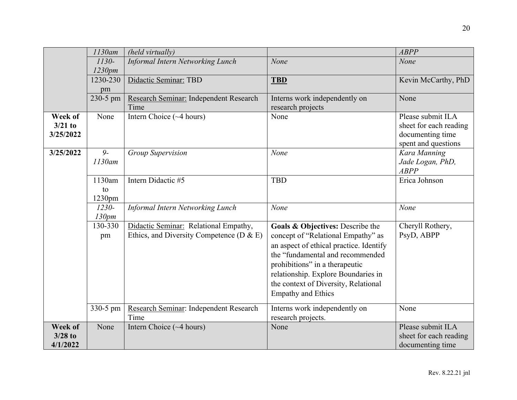|           | 1130am    | (held virtually)                              |                                         | <b>ABPP</b>            |
|-----------|-----------|-----------------------------------------------|-----------------------------------------|------------------------|
|           | $1130-$   | <b>Informal Intern Networking Lunch</b>       | None                                    | None                   |
|           | 1230pm    |                                               |                                         |                        |
|           | 1230-230  | Didactic Seminar: TBD                         | <b>TBD</b>                              | Kevin McCarthy, PhD    |
|           | pm        |                                               |                                         |                        |
|           | 230-5 pm  | Research Seminar: Independent Research        | Interns work independently on           | None                   |
|           |           | Time                                          | research projects                       |                        |
| Week of   | None      | Intern Choice $(\sim 4 \text{ hours})$        | None                                    | Please submit ILA      |
| $3/21$ to |           |                                               |                                         | sheet for each reading |
| 3/25/2022 |           |                                               |                                         | documenting time       |
|           |           |                                               |                                         | spent and questions    |
| 3/25/2022 | $9-$      | Group Supervision                             | None                                    | Kara Manning           |
|           | $1130$ am |                                               |                                         | Jade Logan, PhD,       |
|           |           |                                               |                                         | <b>ABPP</b>            |
|           | 1130am    | Intern Didactic #5                            | <b>TBD</b>                              | Erica Johnson          |
|           | to        |                                               |                                         |                        |
|           | 1230pm    |                                               |                                         |                        |
|           | $1230 -$  | <b>Informal Intern Networking Lunch</b>       | None                                    | None                   |
|           | 130pm     |                                               |                                         |                        |
|           | 130-330   | Didactic Seminar: Relational Empathy,         | Goals & Objectives: Describe the        | Cheryll Rothery,       |
|           | pm        | Ethics, and Diversity Competence ( $D \& E$ ) | concept of "Relational Empathy" as      | PsyD, ABPP             |
|           |           |                                               | an aspect of ethical practice. Identify |                        |
|           |           |                                               | the "fundamental and recommended        |                        |
|           |           |                                               | prohibitions" in a therapeutic          |                        |
|           |           |                                               | relationship. Explore Boundaries in     |                        |
|           |           |                                               |                                         |                        |
|           |           |                                               | the context of Diversity, Relational    |                        |
|           |           |                                               | <b>Empathy and Ethics</b>               |                        |
|           | 330-5 pm  | Research Seminar: Independent Research        | Interns work independently on           | None                   |
|           |           | Time                                          | research projects.                      |                        |
| Week of   | None      | Intern Choice $(\sim 4$ hours)                | None                                    | Please submit ILA      |
| $3/28$ to |           |                                               |                                         | sheet for each reading |
| 4/1/2022  |           |                                               |                                         | documenting time       |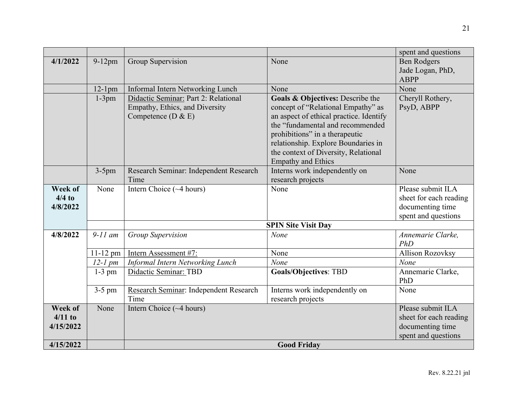|           |            |                                                |                                         | spent and questions     |
|-----------|------------|------------------------------------------------|-----------------------------------------|-------------------------|
| 4/1/2022  | 9-12pm     | Group Supervision                              | None                                    | <b>Ben Rodgers</b>      |
|           |            |                                                |                                         | Jade Logan, PhD,        |
|           |            |                                                |                                         | <b>ABPP</b>             |
|           | $12-1$ pm  | Informal Intern Networking Lunch               | None                                    | None                    |
|           | $1-3pm$    | Didactic Seminar: Part 2: Relational           | Goals & Objectives: Describe the        | Cheryll Rothery,        |
|           |            | Empathy, Ethics, and Diversity                 | concept of "Relational Empathy" as      | PsyD, ABPP              |
|           |            | Competence $(D & E)$                           | an aspect of ethical practice. Identify |                         |
|           |            |                                                | the "fundamental and recommended        |                         |
|           |            |                                                | prohibitions" in a therapeutic          |                         |
|           |            |                                                | relationship. Explore Boundaries in     |                         |
|           |            |                                                | the context of Diversity, Relational    |                         |
|           |            |                                                | <b>Empathy and Ethics</b>               | None                    |
|           | $3-5$ pm   | Research Seminar: Independent Research<br>Time | Interns work independently on           |                         |
| Week of   |            | Intern Choice $(\sim 4$ hours)                 | research projects<br>None               | Please submit ILA       |
| $4/4$ to  | None       |                                                |                                         | sheet for each reading  |
| 4/8/2022  |            |                                                |                                         | documenting time        |
|           |            |                                                |                                         | spent and questions     |
|           |            |                                                | <b>SPIN Site Visit Day</b>              |                         |
| 4/8/2022  | $9-11$ am  | <b>Group Supervision</b>                       | None                                    | Annemarie Clarke,       |
|           |            |                                                |                                         | PhD                     |
|           | $11-12$ pm | Intern Assessment #7:                          | None                                    | <b>Allison Rozovksy</b> |
|           | $12-1$ pm  | Informal Intern Networking Lunch               | None                                    | None                    |
|           | $1-3$ pm   | Didactic Seminar: TBD                          | <b>Goals/Objectives: TBD</b>            | Annemarie Clarke,       |
|           |            |                                                |                                         | PhD                     |
|           | $3-5$ pm   | Research Seminar: Independent Research         | Interns work independently on           | None                    |
|           |            | Time                                           | research projects                       |                         |
| Week of   | None       | Intern Choice $(\sim 4$ hours)                 |                                         | Please submit ILA       |
| $4/11$ to |            |                                                |                                         | sheet for each reading  |
| 4/15/2022 |            |                                                |                                         | documenting time        |
|           |            |                                                |                                         | spent and questions     |
| 4/15/2022 |            |                                                | <b>Good Friday</b>                      |                         |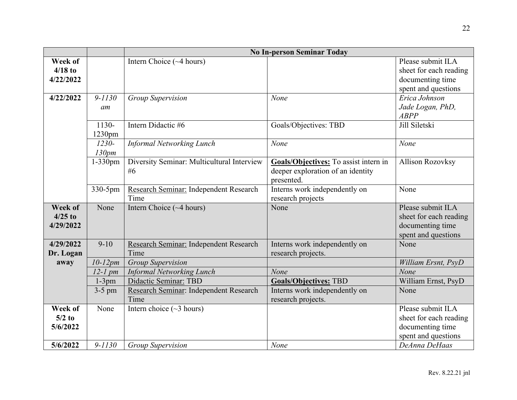|                                             |                    | <b>No In-person Seminar Today</b>                          |                                                                                          |                                                                                                         |  |
|---------------------------------------------|--------------------|------------------------------------------------------------|------------------------------------------------------------------------------------------|---------------------------------------------------------------------------------------------------------|--|
| Week of<br>$4/18$ to<br>4/22/2022           |                    | Intern Choice $(\sim 4$ hours)                             |                                                                                          | Please submit ILA<br>sheet for each reading<br>documenting time<br>spent and questions                  |  |
| 4/22/2022                                   | $9 - 1130$<br>am   | <b>Group Supervision</b>                                   | None                                                                                     | Erica Johnson<br>Jade Logan, PhD,<br><b>ABPP</b>                                                        |  |
|                                             | 1130-<br>1230pm    | Intern Didactic #6                                         | Goals/Objectives: TBD                                                                    | Jill Siletski                                                                                           |  |
|                                             | $1230 -$<br>130pm  | <b>Informal Networking Lunch</b>                           | None                                                                                     | None                                                                                                    |  |
|                                             | 1-330pm            | Diversity Seminar: Multicultural Interview<br>#6           | Goals/Objectives: To assist intern in<br>deeper exploration of an identity<br>presented. | <b>Allison Rozovksy</b>                                                                                 |  |
|                                             | 330-5pm            | Research Seminar: Independent Research<br>Time             | Interns work independently on<br>research projects                                       | None                                                                                                    |  |
| <b>Week of</b><br>$4/25$ to<br>4/29/2022    | None               | Intern Choice $(\sim 4 \text{ hours})$                     | None                                                                                     | Please submit ILA<br>sheet for each reading<br>documenting time<br>spent and questions                  |  |
| 4/29/2022<br>Dr. Logan                      | $9-10$             | Research Seminar: Independent Research<br>Time             | Interns work independently on<br>research projects.                                      | None                                                                                                    |  |
| away                                        | $10-12pm$          | <b>Group Supervision</b>                                   |                                                                                          | William Ersnt, PsyD                                                                                     |  |
|                                             | $12-1$ pm          | <b>Informal Networking Lunch</b>                           | None                                                                                     | None                                                                                                    |  |
|                                             | $1-3pm$            | Didactic Seminar: TBD                                      | <b>Goals/Objectives: TBD</b>                                                             | William Ernst, PsyD                                                                                     |  |
|                                             | $3-5$ pm           | Research Seminar: Independent Research<br>Time             | Interns work independently on<br>research projects.                                      | None                                                                                                    |  |
| Week of<br>$5/2$ to<br>5/6/2022<br>5/6/2022 | None<br>$9 - 1130$ | Intern choice $(\sim 3$ hours)<br><b>Group Supervision</b> | None                                                                                     | Please submit ILA<br>sheet for each reading<br>documenting time<br>spent and questions<br>DeAnna DeHaas |  |
|                                             |                    |                                                            |                                                                                          |                                                                                                         |  |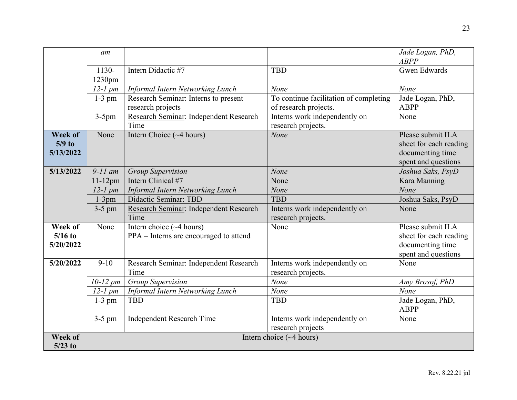|                | am            |                                        |                                        | Jade Logan, PhD,<br><b>ABPP</b> |
|----------------|---------------|----------------------------------------|----------------------------------------|---------------------------------|
|                | 1130-         | Intern Didactic #7                     | <b>TBD</b>                             | <b>Gwen Edwards</b>             |
|                | 1230pm        |                                        |                                        |                                 |
|                | $12-1$ pm     | Informal Intern Networking Lunch       | None                                   | None                            |
|                | $1-3$ pm      | Research Seminar: Interns to present   | To continue facilitation of completing | Jade Logan, PhD,                |
|                |               | research projects                      | of research projects.                  | <b>ABPP</b>                     |
|                | $3-5$ pm      | Research Seminar: Independent Research | Interns work independently on          | None                            |
|                |               | Time                                   | research projects.                     |                                 |
| Week of        | None          | Intern Choice (~4 hours)               | None                                   | Please submit ILA               |
| $5/9$ to       |               |                                        |                                        | sheet for each reading          |
| 5/13/2022      |               |                                        |                                        | documenting time                |
|                |               |                                        |                                        | spent and questions             |
| 5/13/2022      | $9-11$ am     | <b>Group Supervision</b>               | None                                   | Joshua Saks, PsyD               |
|                | $11-12$ pm    | Intern Clinical #7                     | None                                   | Kara Manning                    |
|                | $12$ - $1$ pm | Informal Intern Networking Lunch       | None                                   | None                            |
|                | $1-3pm$       | Didactic Seminar: TBD                  | <b>TBD</b>                             | Joshua Saks, PsyD               |
|                | $3-5$ pm      | Research Seminar: Independent Research | Interns work independently on          | None                            |
|                |               | Time                                   | research projects.                     |                                 |
| Week of        | None          | Intern choice $(\sim 4 \text{ hours})$ | None                                   | Please submit ILA               |
| $5/16$ to      |               | PPA – Interns are encouraged to attend |                                        | sheet for each reading          |
| 5/20/2022      |               |                                        |                                        | documenting time                |
|                |               |                                        |                                        | spent and questions             |
| 5/20/2022      | $9-10$        | Research Seminar: Independent Research | Interns work independently on          | None                            |
|                |               | Time                                   | research projects.                     |                                 |
|                | $10-12$ pm    | <b>Group Supervision</b>               | None                                   | Amy Brosof, PhD                 |
|                | $12-1$ pm     | Informal Intern Networking Lunch       | None                                   | None                            |
|                | $1-3$ pm      | <b>TBD</b>                             | <b>TBD</b>                             | Jade Logan, PhD,                |
|                |               |                                        |                                        | <b>ABPP</b>                     |
|                | $3-5$ pm      | <b>Independent Research Time</b>       | Interns work independently on          | None                            |
|                |               |                                        | research projects                      |                                 |
| <b>Week of</b> |               |                                        | Intern choice $(\sim 4$ hours)         |                                 |
| $5/23$ to      |               |                                        |                                        |                                 |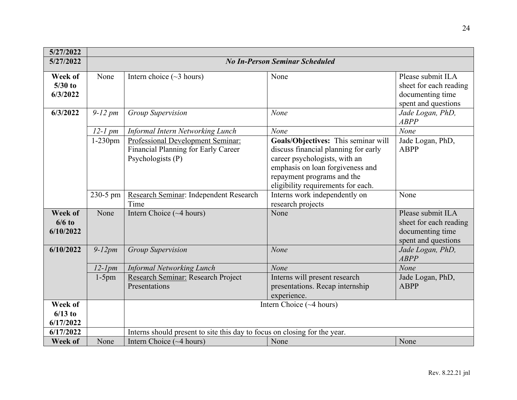| 5/27/2022                         |              |                                                                                               |                                                                                                                                                                                                                      |                                                                                        |
|-----------------------------------|--------------|-----------------------------------------------------------------------------------------------|----------------------------------------------------------------------------------------------------------------------------------------------------------------------------------------------------------------------|----------------------------------------------------------------------------------------|
| 5/27/2022                         |              |                                                                                               | <b>No In-Person Seminar Scheduled</b>                                                                                                                                                                                |                                                                                        |
| Week of<br>$5/30$ to<br>6/3/2022  | None         | Intern choice $(\sim 3$ hours)                                                                | None                                                                                                                                                                                                                 | Please submit ILA<br>sheet for each reading<br>documenting time<br>spent and questions |
| 6/3/2022                          | $9-12$ pm    | <b>Group Supervision</b>                                                                      | None                                                                                                                                                                                                                 | Jade Logan, PhD,<br><b>ABPP</b>                                                        |
|                                   | $12-1$ pm    | Informal Intern Networking Lunch                                                              | None                                                                                                                                                                                                                 | None                                                                                   |
|                                   | $1-230$ pm   | Professional Development Seminar:<br>Financial Planning for Early Career<br>Psychologists (P) | Goals/Objectives: This seminar will<br>discuss financial planning for early<br>career psychologists, with an<br>emphasis on loan forgiveness and<br>repayment programs and the<br>eligibility requirements for each. | Jade Logan, PhD,<br><b>ABPP</b>                                                        |
|                                   | 230-5 pm     | Research Seminar: Independent Research<br>Time                                                | Interns work independently on<br>research projects                                                                                                                                                                   | None                                                                                   |
| Week of<br>$6/6$ to<br>6/10/2022  | None         | Intern Choice $(\sim 4 \text{ hours})$                                                        | None                                                                                                                                                                                                                 | Please submit ILA<br>sheet for each reading<br>documenting time<br>spent and questions |
| 6/10/2022                         | $9-12pm$     | <b>Group Supervision</b>                                                                      | None                                                                                                                                                                                                                 | Jade Logan, PhD,<br><b>ABPP</b>                                                        |
|                                   | $12$ - $1pm$ | <b>Informal Networking Lunch</b>                                                              | None                                                                                                                                                                                                                 | None                                                                                   |
|                                   | $1-5$ pm     | Research Seminar: Research Project<br>Presentations                                           | Interns will present research<br>presentations. Recap internship<br>experience.                                                                                                                                      | Jade Logan, PhD,<br><b>ABPP</b>                                                        |
| Week of<br>$6/13$ to<br>6/17/2022 |              | Intern Choice (~4 hours)                                                                      |                                                                                                                                                                                                                      |                                                                                        |
| 6/17/2022                         |              | Interns should present to site this day to focus on closing for the year.                     |                                                                                                                                                                                                                      |                                                                                        |
| Week of                           | None         | Intern Choice $(\sim 4$ hours)                                                                | None                                                                                                                                                                                                                 | None                                                                                   |